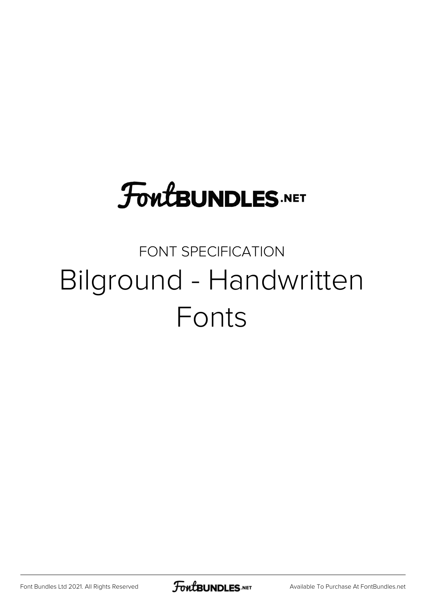## **FoutBUNDLES.NET**

## FONT SPECIFICATION Bilground - Handwritten Fonts

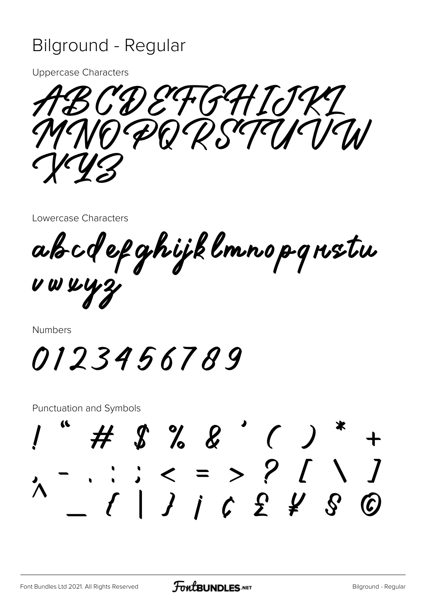## **Bilground - Regular**

**Uppercase Characters** 

CDEFGHIJKI MNODORSTANIAN

Lowercase Characters

ab cdef ghijk lmno p grustu UWW43

Numbers

0123456789

**Punctuation and Symbols** 

 $\# \$   $\frac{9}{6}$   $\frac{2}{6}$   $\frac{1}{6}$   $\frac{1}{2}$  $-$  : : < = > ? [ \ ]<br>  $-$  : : < = > ? [ \ ]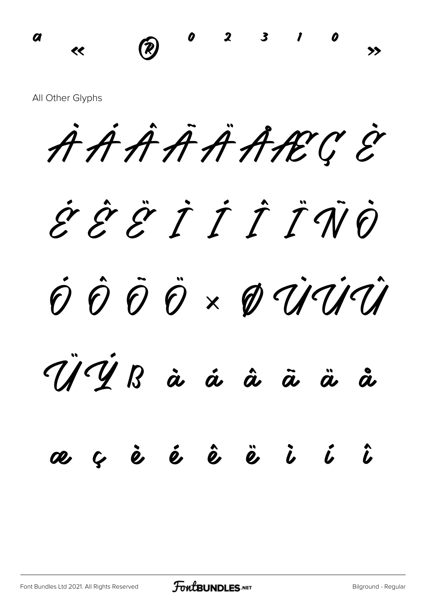$0$  2 3  $\boldsymbol{a}$  $\circledR$  $\ll$ 

All Other Glyphs

AAAAAARCE

ĖĖËIII TŪ

O O O V O UUI

YYB à á â  $\ddot{\bm a}$ å  $\ddot{a}$ 

## a ç  $\dot{\bm{e}}$   $\dot{\bm{e}}$   $\dot{\bm{e}}$   $\ddot{\bm{e}}$   $\ddot{\bm{e}}$   $\ddot{\bm{e}}$  $\hat{b}$   $\hat{b}$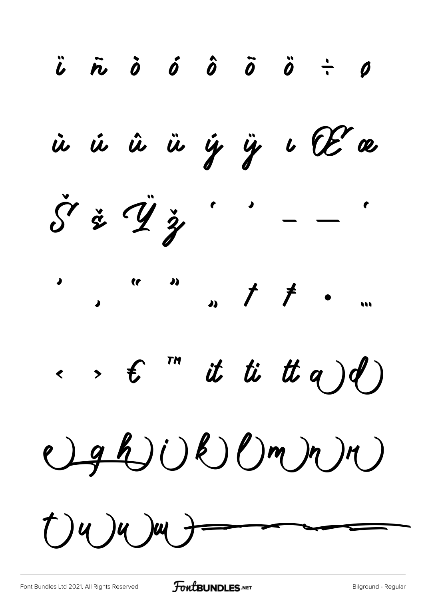$\ddot{b}$   $\ddot{r}$   $\dot{0}$   $\dot{0}$   $\ddot{0}$   $\ddot{0}$   $\ddot{0}$   $\ddot{0}$   $\ddot{0}$ ù ú û ü ý ÿ ı Œ æ  $\check{S}$   $\check{z}$   $\ddot{y}$   $\vdots$   $\ddots$  $\leftarrow$ ,  $\epsilon$  " it ti tt a)d)  $Qghj(k)l(mn)n)$  $(1)$ 4 )u )u }=